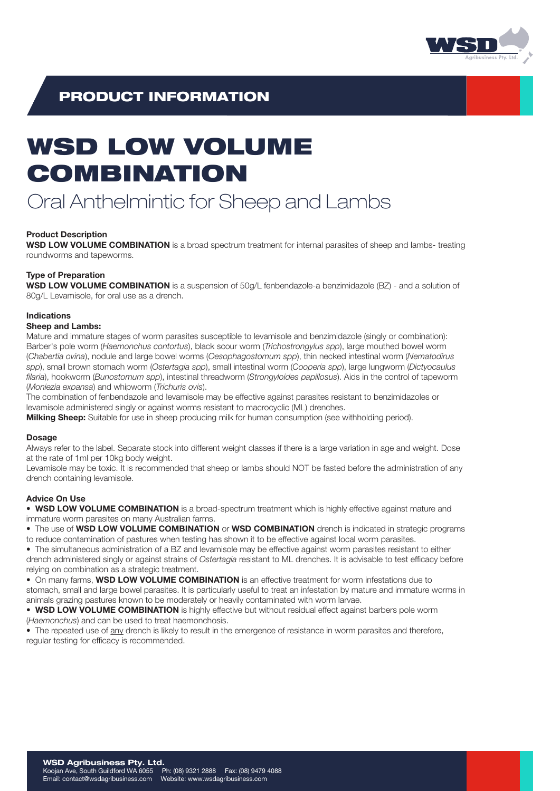

## PRODUCT INFORMATION

# WSD LOW VOLUME COMBINATION

## Oral Anthelmintic for Sheep and Lambs

#### Product Description

WSD LOW VOLUME COMBINATION is a broad spectrum treatment for internal parasites of sheep and lambs- treating roundworms and tapeworms.

#### Type of Preparation

WSD LOW VOLUME COMBINATION is a suspension of 50g/L fenbendazole-a benzimidazole (BZ) - and a solution of 80g/L Levamisole, for oral use as a drench.

### Indications

#### Sheep and Lambs:

Mature and immature stages of worm parasites susceptible to levamisole and benzimidazole (singly or combination): Barber's pole worm (*Haemonchus contortus*), black scour worm (*Trichostrongylus spp*), large mouthed bowel worm (*Chabertia ovina*), nodule and large bowel worms (*Oesophagostomum spp*), thin necked intestinal worm (*Nematodirus spp*), small brown stomach worm (*Ostertagia spp*), small intestinal worm (*Cooperia spp*), large lungworm (*Dictyocaulus filaria*), hookworm (*Bunostomum spp*), intestinal threadworm (*Strongyloides papillosus*). Aids in the control of tapeworm (*Moniezia expansa*) and whipworm (*Trichuris ovis*).

The combination of fenbendazole and levamisole may be effective against parasites resistant to benzimidazoles or levamisole administered singly or against worms resistant to macrocyclic (ML) drenches.

Milking Sheep: Suitable for use in sheep producing milk for human consumption (see withholding period).

#### Dosage

Always refer to the label. Separate stock into different weight classes if there is a large variation in age and weight. Dose at the rate of 1ml per 10kg body weight.

Levamisole may be toxic. It is recommended that sheep or lambs should NOT be fasted before the administration of any drench containing levamisole.

#### Advice On Use

• WSD LOW VOLUME COMBINATION is a broad-spectrum treatment which is highly effective against mature and immature worm parasites on many Australian farms.

• The use of WSD LOW VOLUME COMBINATION or WSD COMBINATION drench is indicated in strategic programs

to reduce contamination of pastures when testing has shown it to be effective against local worm parasites. • The simultaneous administration of a BZ and levamisole may be effective against worm parasites resistant to either

drench administered singly or against strains of *Ostertagia* resistant to ML drenches. It is advisable to test efficacy before relying on combination as a strategic treatment.

• On many farms, WSD LOW VOLUME COMBINATION is an effective treatment for worm infestations due to

stomach, small and large bowel parasites. It is particularly useful to treat an infestation by mature and immature worms in animals grazing pastures known to be moderately or heavily contaminated with worm larvae.

• WSD LOW VOLUME COMBINATION is highly effective but without residual effect against barbers pole worm (*Haemonchus*) and can be used to treat haemonchosis.

• The repeated use of any drench is likely to result in the emergence of resistance in worm parasites and therefore, regular testing for efficacy is recommended.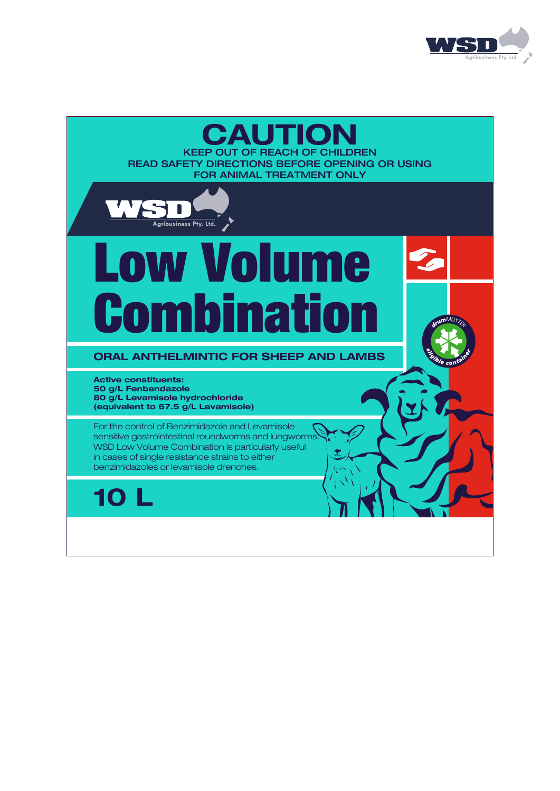

## KEEP OUT OF REACH OF CHILDREN **CAUTION**

READ SAFETY DIRECTIONS BEFORE OPENING OR USING FOR ANIMAL TREATMENT ONLY



# Low Volume Combination

## ORAL ANTHELMINTIC FOR SHEEP AND LAMBS

Active constituents: 50 g/L Fenbendazole 80 g/L Levamisole hydrochloride (equivalent to 67.5 g/L Levamisole)

For the control of Benzimidazole and Levamisole sensitive gastrointestinal roundworms and lungworms. WSD Low Volume Combination is particularly useful in cases of single resistance strains to either benzimidazoles or levamisole drenches.

10 L